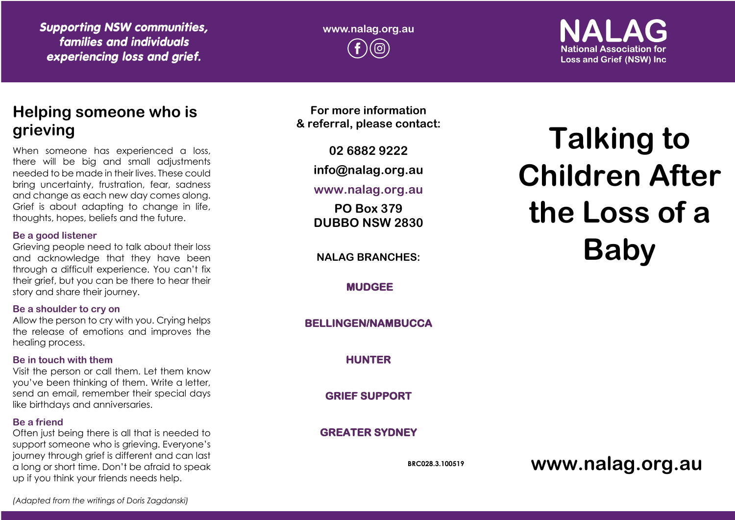*Supporting NSW communities, families and individuals experiencing loss and grief.*

**www.nalag.org.au**

**National Association for Loss and Grief (NSW) Inc.** 

# **Helping someone who is grieving**

When someone has experienced a loss, there will be big and small adjustments needed to be made in their lives. These could bring uncertainty, frustration, fear, sadness and change as each new day comes along. Grief is about adapting to change in life, thoughts, hopes, beliefs and the future.

#### **Be a good listener**

Grieving people need to talk about their loss and acknowledge that they have been through a difficult experience. You can't fix their grief, but you can be there to hear their story and share their journey.

# **Be a shoulder to cry on**

Allow the person to cry with you. Crying helps the release of emotions and improves the healing process.

# **Be in touch with them**

Visit the person or call them. Let them know you've been thinking of them. Write a letter, send an email, remember their special days like birthdays and anniversaries.

# **Be a friend**

Often just being there is all that is needed to support someone who is grieving. Everyone's journey through grief is different and can last a long or short time. Don't be afraid to speak up if you think your friends needs help.

**For more information & referral, please contact:**

**02 6882 9222**

**info@nalag.org.au**

# **www.nalag.org.au**

**PO Box 379 DUBBO NSW 2830**

**NALAG BRANCHES:**

**MUDGEE** 

**BELLINGEN/NAMBUCCA** 

**HUNTER** 

**GRIEF SUPPORT** 

**GREATER SYDNEY** 

**BRC028.3.100519**

# **Talking to Children After the Loss of a Baby**

**www.nalag.org.au**

*(Adapted from the writings of Doris Zagdanski)*